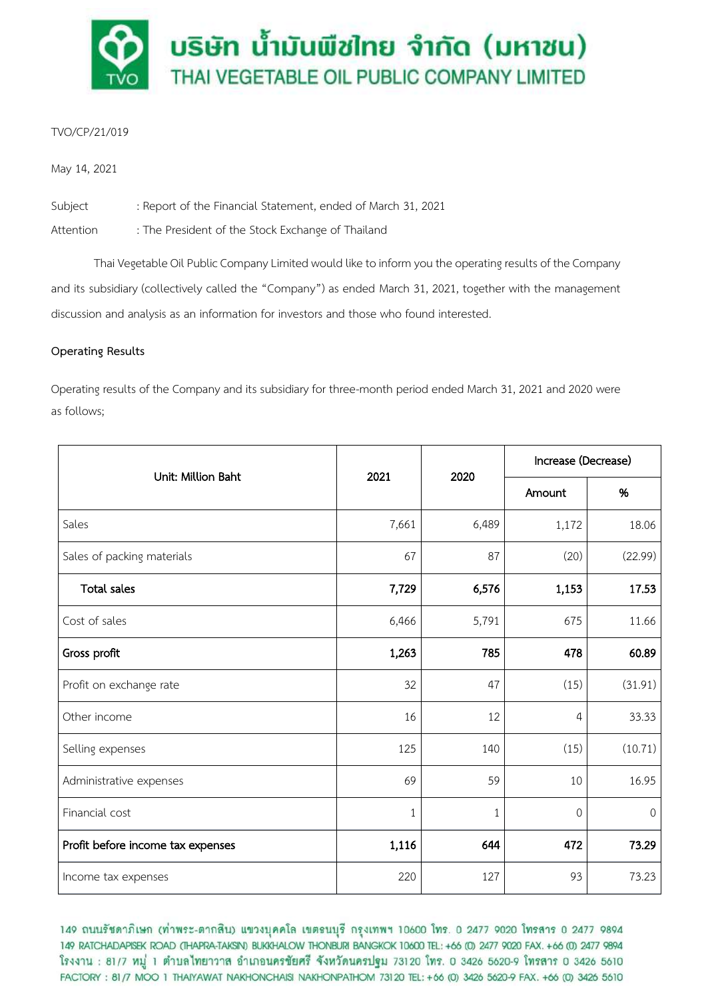

# TVO/CP/21/019

May 14, 2021

Subject : Report of the Financial Statement, ended of March 31, 2021

Attention : The President of the Stock Exchange of Thailand

Thai Vegetable Oil Public Company Limited would like to inform you the operating results of the Company and its subsidiary (collectively called the "Company") as ended March 31, 2021, together with the management discussion and analysis as an information for investors and those who found interested.

# **Operating Results**

Operating results of the Company and its subsidiary for three-month period ended March 31, 2021 and 2020 were as follows;

| Unit: Million Baht                | 2021  | 2020  | Increase (Decrease) |         |
|-----------------------------------|-------|-------|---------------------|---------|
|                                   |       |       | Amount              | %       |
| Sales                             | 7,661 | 6,489 | 1,172               | 18.06   |
| Sales of packing materials        | 67    | 87    | (20)                | (22.99) |
| <b>Total sales</b>                | 7,729 | 6,576 | 1,153               | 17.53   |
| Cost of sales                     | 6,466 | 5,791 | 675                 | 11.66   |
| Gross profit                      | 1,263 | 785   | 478                 | 60.89   |
| Profit on exchange rate           | 32    | 47    | (15)                | (31.91) |
| Other income                      | 16    | 12    | 4                   | 33.33   |
| Selling expenses                  | 125   | 140   | (15)                | (10.71) |
| Administrative expenses           | 69    | 59    | 10                  | 16.95   |
| Financial cost                    | 1     | $1\,$ | $\mathbf 0$         | 0       |
| Profit before income tax expenses | 1,116 | 644   | 472                 | 73.29   |
| Income tax expenses               | 220   | 127   | 93                  | 73.23   |

149 ถนนรัชดาภิเษก (ท่าพระ-ตากสิน) แขวงบุคคโล เขตธนบุรี กรุงเทพฯ 10600 โทร. 0 2477 9020 โทรสาร 0 2477 9894 149 RATCHADAPISEK ROAD (THAPRA-TAKSIN) BUKKHALOW THONBURI BANGKOK 10600 TEL: +66 (0) 2477 9020 FAX. +66 (0) 2477 9894 โรงงาน : 81/7 หมู่ 1 ตำบลไทยาวาส อำเภอนครชัยศรี จังหวัดนครปฐม 73120 โทร. 0 3426 5620-9 โทรสาร 0 3426 5610 FACTORY: 81/7 MOO 1 THAIYAWAT NAKHONCHAISI NAKHONPATHOM 73120 TEL: +66 (0) 3426 5620-9 FAX. +66 (0) 3426 5610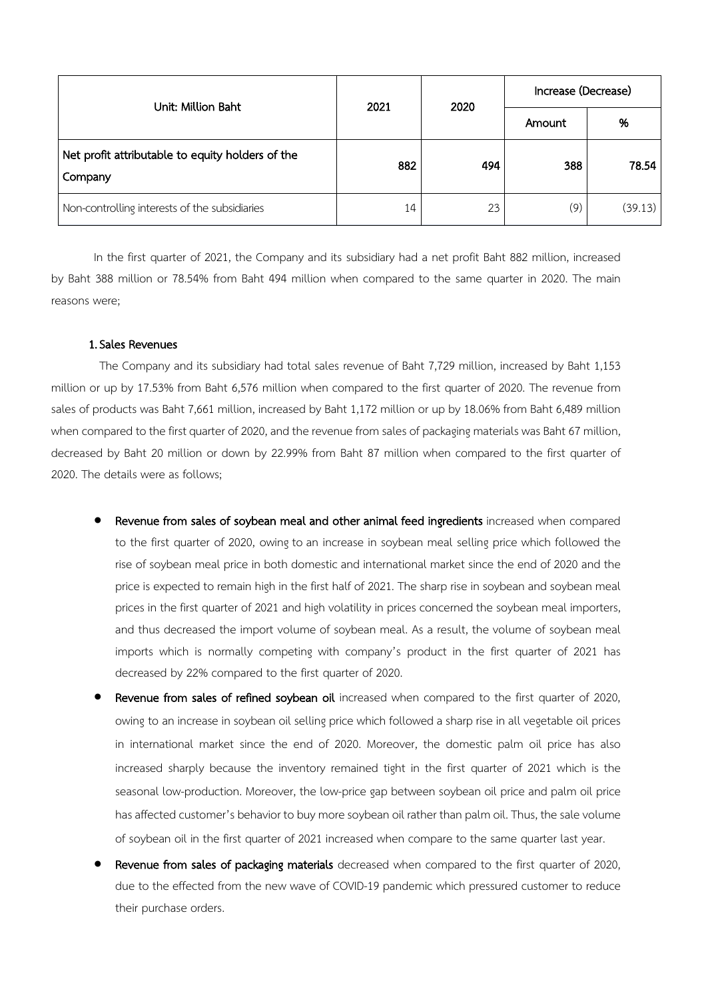| Unit: Million Baht                                          | 2021 | 2020 | Increase (Decrease) |         |
|-------------------------------------------------------------|------|------|---------------------|---------|
|                                                             |      |      | Amount              | %       |
| Net profit attributable to equity holders of the<br>Company | 882  | 494  | 388                 | 78.54   |
| Non-controlling interests of the subsidiaries               | 14   | 23   | (9)                 | (39.13) |

In the first quarter of 2021, the Company and its subsidiary had a net profit Baht 882 million, increased by Baht 388 million or 78.54% from Baht 494 million when compared to the same quarter in 2020. The main reasons were;

### 1.Sales Revenues

The Company and its subsidiary had total sales revenue of Baht 7,729 million, increased by Baht 1,153 million or up by 17.53% from Baht 6,576 million when compared to the first quarter of 2020. The revenue from sales of products was Baht 7,661 million, increased by Baht 1,172 million or up by 18.06% from Baht 6,489 million when compared to the first quarter of 2020, and the revenue from sales of packaging materials was Baht 67 million, decreased by Baht 20 million or down by 22.99% from Baht 87 million when compared to the first quarter of 2020. The details were as follows;

- Revenue from sales of soybean meal and other animal feed ingredients increased when compared to the first quarter of 2020, owing to an increase in soybean meal selling price which followed the rise of soybean meal price in both domestic and international market since the end of 2020 and the price is expected to remain high in the first half of 2021. The sharp rise in soybean and soybean meal prices in the first quarter of 2021 and high volatility in prices concerned the soybean meal importers, and thus decreased the import volume of soybean meal. As a result, the volume of soybean meal imports which is normally competing with company's product in the first quarter of 2021 has decreased by 22% compared to the first quarter of 2020.
- Revenue from sales of refined soybean oil increased when compared to the first quarter of 2020, owing to an increase in soybean oil selling price which followed a sharp rise in all vegetable oil prices in international market since the end of 2020. Moreover, the domestic palm oil price has also increased sharply because the inventory remained tight in the first quarter of 2021 which is the seasonal low-production. Moreover, the low-price gap between soybean oil price and palm oil price has affected customer's behavior to buy more soybean oil rather than palm oil. Thus, the sale volume of soybean oil in the first quarter of 2021 increased when compare to the same quarter last year.
- Revenue from sales of packaging materials decreased when compared to the first quarter of 2020, due to the effected from the new wave of COVID-19 pandemic which pressured customer to reduce their purchase orders.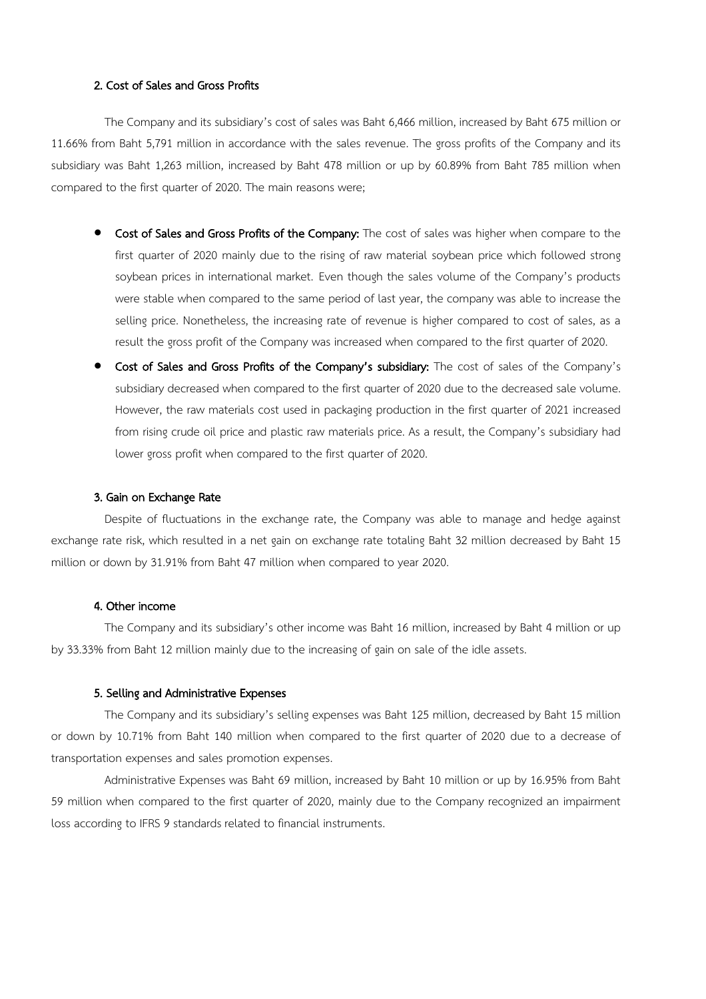### 2. Cost of Sales and Gross Profits

The Company and its subsidiary's cost of sales was Baht 6,466 million, increased by Baht 675 million or 11.66% from Baht 5,791 million in accordance with the sales revenue. The gross profits of the Company and its subsidiary was Baht 1,263 million, increased by Baht 478 million or up by 60.89% from Baht 785 million when compared to the first quarter of 2020. The main reasons were;

- **Cost of Sales and Gross Profits of the Company:** The cost of sales was higher when compare to the first quarter of 2020 mainly due to the rising of raw material soybean price which followed strong soybean prices in international market. Even though the sales volume of the Company's products were stable when compared to the same period of last year, the company was able to increase the selling price. Nonetheless, the increasing rate of revenue is higher compared to cost of sales, as a result the gross profit of the Company was increased when compared to the first quarter of 2020.
- Cost of Sales and Gross Profits of the Company's subsidiary: The cost of sales of the Company's subsidiary decreased when compared to the first quarter of 2020 due to the decreased sale volume. However, the raw materials cost used in packaging production in the first quarter of 2021 increased from rising crude oil price and plastic raw materials price. As a result, the Company's subsidiary had lower gross profit when compared to the first quarter of 2020.

#### 3. Gain on Exchange Rate

Despite of fluctuations in the exchange rate, the Company was able to manage and hedge against exchange rate risk, which resulted in a net gain on exchange rate totaling Baht 32 million decreased by Baht 15 million or down by 31.91% from Baht 47 million when compared to year 2020.

#### 4. Other income

The Company and its subsidiary's other income was Baht 16 million, increased by Baht 4 million or up by 33.33% from Baht 12 million mainly due to the increasing of gain on sale of the idle assets.

### 5. Selling and Administrative Expenses

The Company and its subsidiary's selling expenses was Baht 125 million, decreased by Baht 15 million or down by 10.71% from Baht 140 million when compared to the first quarter of 2020 due to a decrease of transportation expenses and sales promotion expenses.

Administrative Expenses was Baht 69 million, increased by Baht 10 million or up by 16.95% from Baht 59 million when compared to the first quarter of 2020, mainly due to the Company recognized an impairment loss according to IFRS 9 standards related to financial instruments.